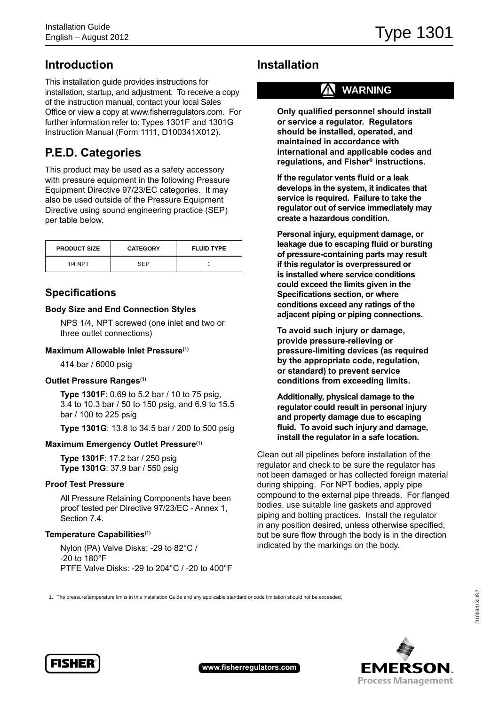## **Introduction**

This installation guide provides instructions for installation, startup, and adjustment. To receive a copy of the instruction manual, contact your local Sales Office or view a copy at www.fisherregulators.com. For further information refer to: Types 1301F and 1301G Instruction Manual (Form 1111, D100341X012).

# **P.E.D. Categories**

This product may be used as a safety accessory with pressure equipment in the following Pressure Equipment Directive 97/23/EC categories. It may also be used outside of the Pressure Equipment Directive using sound engineering practice (SEP) per table below.

| <b>PRODUCT SIZE</b> | <b>CATEGORY</b> | <b>FLUID TYPE</b> |
|---------------------|-----------------|-------------------|
| <b>1/4 NPT</b>      | SEP             |                   |

### **Specifications**

### **Body Size and End Connection Styles**

NPS 1/4, NPT screwed (one inlet and two or three outlet connections)

### **Maximum Allowable Inlet Pressure(1)**

414 bar / 6000 psig

#### **Outlet Pressure Ranges(1)**

**Type 1301F**: 0.69 to 5.2 bar / 10 to 75 psig, 3.4 to 10.3 bar / 50 to 150 psig, and 6.9 to 15.5 bar / 100 to 225 psig

**Type 1301G**: 13.8 to 34.5 bar / 200 to 500 psig

#### **Maximum Emergency Outlet Pressure(1)**

**Type 1301F**: 17.2 bar / 250 psig **Type 1301G**: 37.9 bar / 550 psig

#### **Proof Test Pressure**

All Pressure Retaining Components have been proof tested per Directive 97/23/EC - Annex 1, Section 7.4.

### **Temperature Capabilities(1)**

Nylon (PA) Valve Disks: -29 to 82°C / -20 to 180°F PTFE Valve Disks: -29 to 204°C / -20 to 400°F

## **Installation**

## **! WARNING**

**Only qualified personnel should install or service a regulator. Regulators should be installed, operated, and maintained in accordance with international and applicable codes and regulations, and Fisher® instructions.**

**If the regulator vents fluid or a leak develops in the system, it indicates that service is required. Failure to take the regulator out of service immediately may create a hazardous condition.**

**Personal injury, equipment damage, or leakage due to escaping fluid or bursting of pressure-containing parts may result if this regulator is overpressured or is installed where service conditions could exceed the limits given in the Specifications section, or where conditions exceed any ratings of the adjacent piping or piping connections.**

**To avoid such injury or damage, provide pressure-relieving or pressure-limiting devices (as required by the appropriate code, regulation, or standard) to prevent service conditions from exceeding limits.**

**Additionally, physical damage to the regulator could result in personal injury and property damage due to escaping fluid. To avoid such injury and damage, install the regulator in a safe location.**

Clean out all pipelines before installation of the regulator and check to be sure the regulator has not been damaged or has collected foreign material during shipping. For NPT bodies, apply pipe compound to the external pipe threads. For flanged bodies, use suitable line gaskets and approved piping and bolting practices. Install the regulator in any position desired, unless otherwise specified, but be sure flow through the body is in the direction indicated by the markings on the body.

1. The pressure/temperature limits in this Installation Guide and any applicable standard or code limitation should not be exceeded.





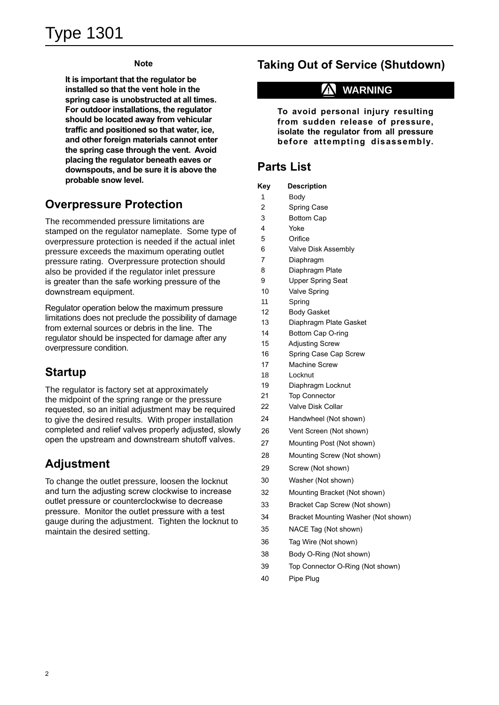### **Note**

**It is important that the regulator be installed so that the vent hole in the spring case is unobstructed at all times. For outdoor installations, the regulator should be located away from vehicular traffic and positioned so that water, ice, and other foreign materials cannot enter the spring case through the vent. Avoid placing the regulator beneath eaves or downspouts, and be sure it is above the probable snow level.**

## **Overpressure Protection**

The recommended pressure limitations are stamped on the regulator nameplate. Some type of overpressure protection is needed if the actual inlet pressure exceeds the maximum operating outlet pressure rating. Overpressure protection should also be provided if the regulator inlet pressure is greater than the safe working pressure of the downstream equipment.

Regulator operation below the maximum pressure limitations does not preclude the possibility of damage from external sources or debris in the line. The regulator should be inspected for damage after any overpressure condition.

## **Startup**

The regulator is factory set at approximately the midpoint of the spring range or the pressure requested, so an initial adjustment may be required to give the desired results. With proper installation completed and relief valves properly adjusted, slowly open the upstream and downstream shutoff valves.

## **Adjustment**

To change the outlet pressure, loosen the locknut and turn the adjusting screw clockwise to increase outlet pressure or counterclockwise to decrease pressure. Monitor the outlet pressure with a test gauge during the adjustment. Tighten the locknut to maintain the desired setting.

# **Taking Out of Service (Shutdown)**

# **! WARNING**

**To avoid personal injury resulting from sudden release of pressure, isolate the regulator from all pressure before attempting disassembly.**

# **Parts List**

- 1 Body
- 2 Spring Case
- 3 Bottom Cap
- 4 Yoke
- 5 Orifice
- 6 Valve Disk Assembly
- 7 Diaphragm
- 8 Diaphragm Plate
- 9 Upper Spring Seat
- 10 Valve Spring
- 11 Spring
- 12 Body Gasket
- 13 Diaphragm Plate Gasket
- 14 Bottom Cap O-ring
- 15 Adjusting Screw
- 16 Spring Case Cap Screw
- 17 Machine Screw
- 18 Locknut
- 19 Diaphragm Locknut
- 21 Top Connector
- 22 Valve Disk Collar
- 24 Handwheel (Not shown)
- 26 Vent Screen (Not shown)
- 27 Mounting Post (Not shown)
- 28 Mounting Screw (Not shown)
- 29 Screw (Not shown)
- 30 Washer (Not shown)
- 32 Mounting Bracket (Not shown)
- 33 Bracket Cap Screw (Not shown)
- 34 Bracket Mounting Washer (Not shown)
- 35 NACE Tag (Not shown)
- 36 Tag Wire (Not shown)
- 38 Body O-Ring (Not shown)
- 39 Top Connector O-Ring (Not shown)
- 40 Pipe Plug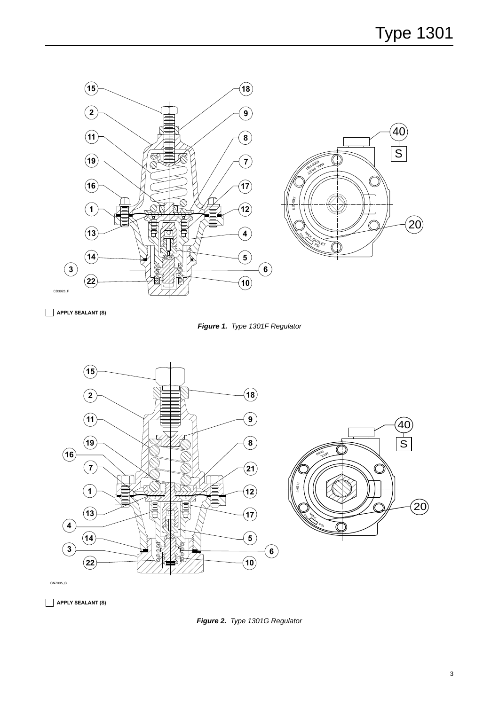

**APPLY SEALANT (S)**





CN7095\_C

**APPLY SEALANT (S)**

*Figure 2. Type 1301G Regulator*